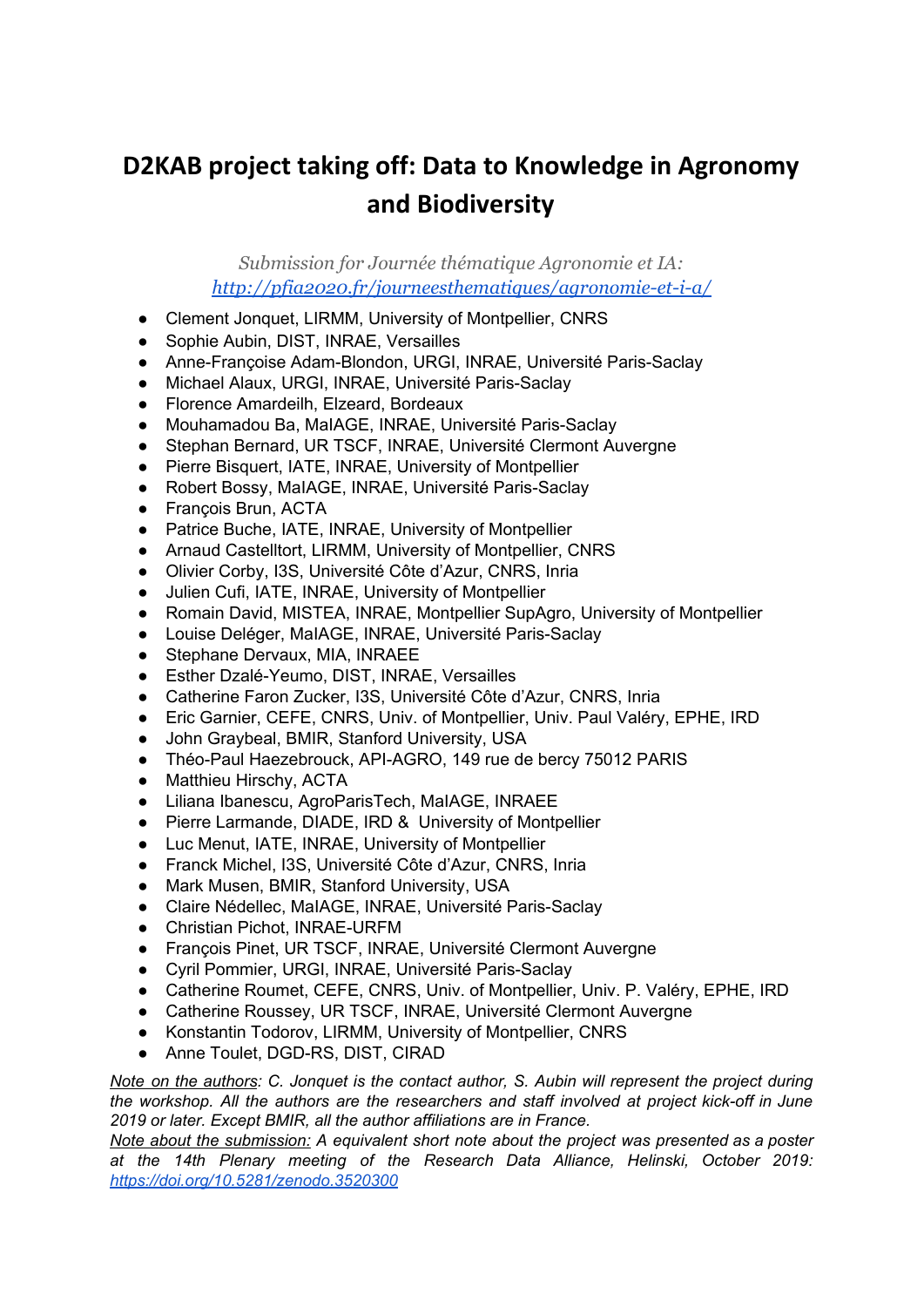## **D2KAB project taking off: Data to Knowledge in Agronomy and Biodiversity**

*Submission for Journée thématique Agronomie et IA: <http://pfia2020.fr/journeesthematiques/agronomie-et-i-a/>*

- Clement Jonquet, LIRMM, University of Montpellier, CNRS
- Sophie Aubin, DIST, INRAE, Versailles
- Anne-Françoise Adam-Blondon, URGI, INRAE, Université Paris-Saclay
- Michael Alaux, URGI, INRAE, Université Paris-Saclay
- Florence Amardeilh, Elzeard, Bordeaux
- Mouhamadou Ba, MaIAGE, INRAE, Université Paris-Saclay
- Stephan Bernard, UR TSCF, INRAE, Université Clermont Auvergne
- Pierre Bisquert, IATE, INRAE, University of Montpellier
- Robert Bossy, MaIAGE, INRAE, Université Paris-Saclay
- François Brun, ACTA
- Patrice Buche, IATE, INRAE, University of Montpellier
- Arnaud Castelltort, LIRMM, University of Montpellier, CNRS
- Olivier Corby, I3S, Université Côte d'Azur, CNRS, Inria
- Julien Cufi, IATE, INRAE, University of Montpellier
- Romain David, MISTEA, INRAE, Montpellier SupAgro, University of Montpellier
- Louise Deléger, MaIAGE, INRAE, Université Paris-Saclay
- Stephane Dervaux, MIA, INRAEE
- Esther Dzalé-Yeumo, DIST, INRAE, Versailles
- Catherine Faron Zucker, I3S, Université Côte d'Azur, CNRS, Inria
- Eric Garnier, CEFE, CNRS, Univ. of Montpellier, Univ. Paul Valéry, EPHE, IRD
- John Graybeal, BMIR, Stanford University, USA
- Théo-Paul Haezebrouck, API-AGRO, 149 rue de bercy 75012 PARIS
- Matthieu Hirschy, ACTA
- Liliana Ibanescu, AgroParisTech, MaIAGE, INRAEE
- Pierre Larmande, DIADE, IRD & University of Montpellier
- Luc Menut, IATE, INRAE, University of Montpellier
- Franck Michel, I3S, Université Côte d'Azur, CNRS, Inria
- Mark Musen, BMIR, Stanford University, USA
- Claire Nédellec, MaIAGE, INRAE, Université Paris-Saclay
- Christian Pichot, INRAE-URFM
- François Pinet, UR TSCF, INRAE, Université Clermont Auvergne
- Cyril Pommier, URGI, INRAE, Université Paris-Saclay
- Catherine Roumet, CEFE, CNRS, Univ. of Montpellier, Univ. P. Valéry, EPHE, IRD
- Catherine Roussey, UR TSCF, INRAE, Université Clermont Auvergne
- Konstantin Todorov, LIRMM, University of Montpellier, CNRS
- Anne Toulet, DGD-RS, DIST, CIRAD

*Note on the authors: C. Jonquet is the contact author, S. Aubin will represent the project during the workshop. All the authors are the researchers and staff involved at project kick-off in June 2019 or later. Except BMIR, all the author affiliations are in France.*

*Note about the submission: A equivalent short note about the project was presented as a poster at the 14th Plenary meeting of the Research Data Alliance, Helinski, October 2019: <https://doi.org/10.5281/zenodo.3520300>*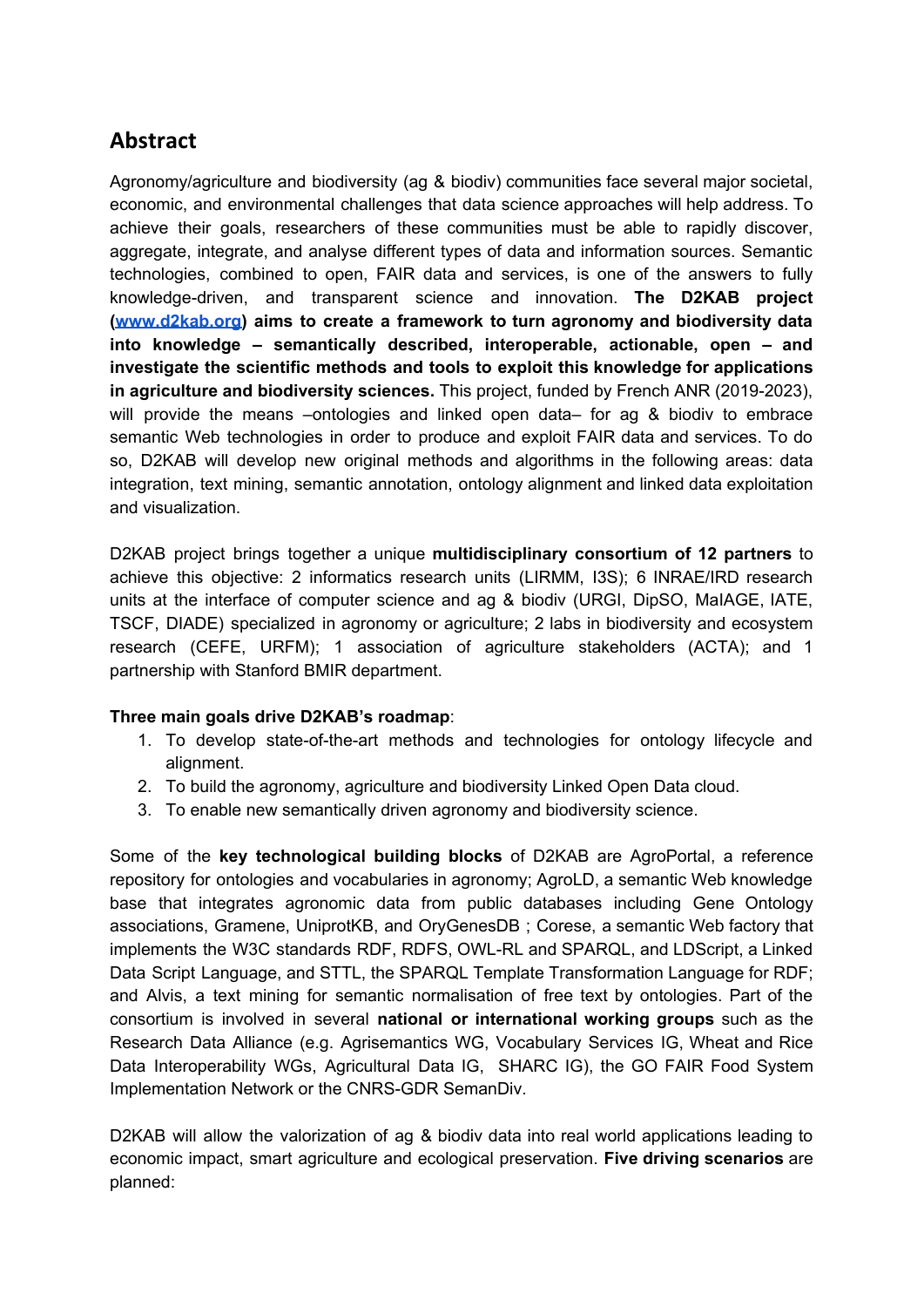## **Abstract**

Agronomy/agriculture and biodiversity (ag & biodiv) communities face several major societal, economic, and environmental challenges that data science approaches will help address. To achieve their goals, researchers of these communities must be able to rapidly discover, aggregate, integrate, and analyse different types of data and information sources. Semantic technologies, combined to open, FAIR data and services, is one of the answers to fully knowledge-driven, and transparent science and innovation. **The D2KAB project [\(www.d2kab.org\)](http://www.d2kab.org/) aims to create a framework to turn agronomy and biodiversity data into knowledge – semantically described, interoperable, actionable, open – and investigate the scientific methods and tools to exploit this knowledge for applications in agriculture and biodiversity sciences.** This project, funded by French ANR (2019-2023), will provide the means –ontologies and linked open data– for ag & biodiv to embrace semantic Web technologies in order to produce and exploit FAIR data and services. To do so, D2KAB will develop new original methods and algorithms in the following areas: data integration, text mining, semantic annotation, ontology alignment and linked data exploitation and visualization.

D2KAB project brings together a unique **multidisciplinary consortium of 12 partners** to achieve this objective: 2 informatics research units (LIRMM, I3S); 6 INRAE/IRD research units at the interface of computer science and ag & biodiv (URGI, DipSO, MaIAGE, IATE, TSCF, DIADE) specialized in agronomy or agriculture; 2 labs in biodiversity and ecosystem research (CEFE, URFM); 1 association of agriculture stakeholders (ACTA); and 1 partnership with Stanford BMIR department.

## **Three main goals drive D2KAB's roadmap**:

- 1. To develop state-of-the-art methods and technologies for ontology lifecycle and alignment.
- 2. To build the agronomy, agriculture and biodiversity Linked Open Data cloud.
- 3. To enable new semantically driven agronomy and biodiversity science.

Some of the **key technological building blocks** of D2KAB are AgroPortal, a reference repository for ontologies and vocabularies in agronomy; AgroLD, a semantic Web knowledge base that integrates agronomic data from public databases including Gene Ontology associations, Gramene, UniprotKB, and OryGenesDB ; Corese, a semantic Web factory that implements the W3C standards RDF, RDFS, OWL-RL and SPARQL, and LDScript, a Linked Data Script Language, and STTL, the SPARQL Template Transformation Language for RDF; and Alvis, a text mining for semantic normalisation of free text by ontologies. Part of the consortium is involved in several **national or international working groups** such as the Research Data Alliance (e.g. Agrisemantics WG, Vocabulary Services IG, Wheat and Rice Data Interoperability WGs, Agricultural Data IG, SHARC IG), the GO FAIR Food System Implementation Network or the CNRS-GDR SemanDiv.

D2KAB will allow the valorization of ag & biodiv data into real world applications leading to economic impact, smart agriculture and ecological preservation. **Five driving scenarios** are planned: